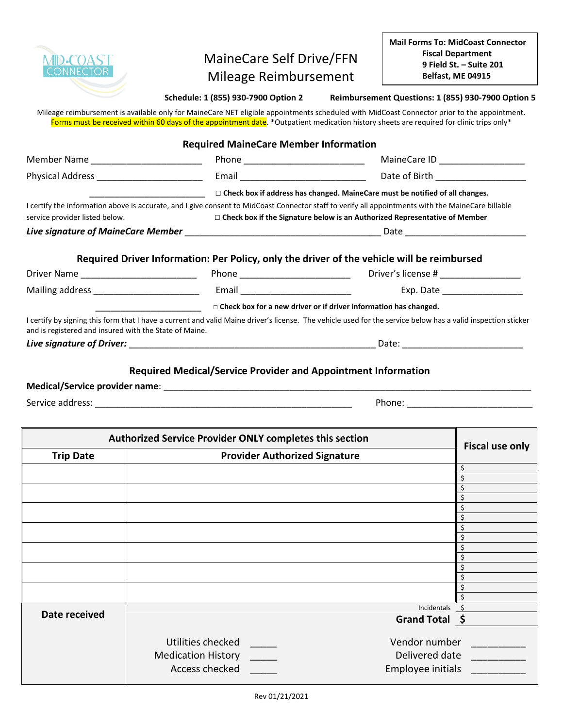

## MaineCare Self Drive/FFN Mileage Reimbursement

**Schedule: 1 (855) 930-7900 Option 2 Reimbursement Questions: 1 (855) 930-7900 Option 5**

Mileage reimbursement is available only for MaineCare NET eligible appointments scheduled with MidCoast Connector prior to the appointment. Forms must be received within 60 days of the appointment date. \*Outpatient medication history sheets are required for clinic trips only\*

|                                                        | <b>Required MaineCare Member Information</b>                                      |                                                                                                                                                              |
|--------------------------------------------------------|-----------------------------------------------------------------------------------|--------------------------------------------------------------------------------------------------------------------------------------------------------------|
| Member Name _________________________                  |                                                                                   |                                                                                                                                                              |
| Physical Address __________________________            |                                                                                   | Date of Birth ____________________                                                                                                                           |
|                                                        |                                                                                   | $\Box$ Check box if address has changed. MaineCare must be notified of all changes.                                                                          |
|                                                        |                                                                                   | I certify the information above is accurate, and I give consent to MidCoast Connector staff to verify all appointments with the MaineCare billable           |
| service provider listed below.                         | $\Box$ Check box if the Signature below is an Authorized Representative of Member |                                                                                                                                                              |
|                                                        |                                                                                   |                                                                                                                                                              |
|                                                        |                                                                                   | Required Driver Information: Per Policy, only the driver of the vehicle will be reimbursed                                                                   |
|                                                        |                                                                                   |                                                                                                                                                              |
|                                                        |                                                                                   |                                                                                                                                                              |
|                                                        |                                                                                   | $\Box$ Check box for a new driver or if driver information has changed.                                                                                      |
| and is registered and insured with the State of Maine. |                                                                                   | I certify by signing this form that I have a current and valid Maine driver's license. The vehicle used for the service below has a valid inspection sticker |
|                                                        |                                                                                   |                                                                                                                                                              |
|                                                        |                                                                                   | <b>Required Medical/Service Provider and Appointment Information</b>                                                                                         |
|                                                        |                                                                                   |                                                                                                                                                              |
| Service address:                                       |                                                                                   |                                                                                                                                                              |

| Authorized Service Provider ONLY completes this section | <b>Fiscal use only</b>               |                   |  |
|---------------------------------------------------------|--------------------------------------|-------------------|--|
| <b>Trip Date</b>                                        | <b>Provider Authorized Signature</b> |                   |  |
|                                                         |                                      | \$                |  |
|                                                         |                                      |                   |  |
|                                                         |                                      |                   |  |
|                                                         |                                      |                   |  |
|                                                         |                                      |                   |  |
|                                                         |                                      |                   |  |
|                                                         |                                      |                   |  |
|                                                         |                                      |                   |  |
|                                                         |                                      |                   |  |
|                                                         |                                      |                   |  |
|                                                         |                                      |                   |  |
|                                                         |                                      |                   |  |
|                                                         |                                      |                   |  |
|                                                         |                                      |                   |  |
|                                                         |                                      | Incidentals       |  |
| Date received                                           |                                      | Grand Total \$    |  |
|                                                         |                                      |                   |  |
|                                                         | Utilities checked                    | Vendor number     |  |
|                                                         | <b>Medication History</b>            | Delivered date    |  |
|                                                         |                                      |                   |  |
|                                                         | Access checked                       | Employee initials |  |